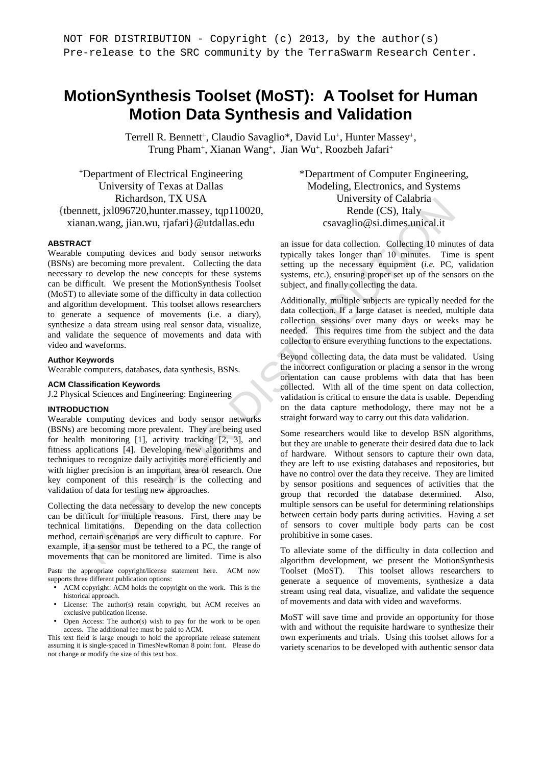# **MotionSynthesis Toolset (MoST): A Toolset for Human Motion Data Synthesis and Validation**

Terrell R. Bennett<sup>+</sup>, Claudio Savaglio\*, David Lu<sup>+</sup>, Hunter Massey<sup>+</sup>, Trung Pham<sup>+</sup>, Xianan Wang<sup>+</sup>, Jian Wu<sup>+</sup>, Roozbeh Jafari<sup>+</sup>

**<sup>+</sup>**Department of Electrical Engineering University of Texas at Dallas Richardson, TX USA {tbennett, jxl096720,hunter.massey, tqp110020, xianan.wang, jian.wu, rjafari}@utdallas.edu

#### **ABSTRACT**

Wearable computing devices and body sensor networks (BSNs) are becoming more prevalent. Collecting the data necessary to develop the new concepts for these systems can be difficult. We present the MotionSynthesis Toolset (MoST) to alleviate some of the difficulty in data collection and algorithm development. This toolset allows researchers to generate a sequence of movements (i.e. a diary), synthesize a data stream using real sensor data, visualize, and validate the sequence of movements and data with video and waveforms.

#### **Author Keywords**

Wearable computers, databases, data synthesis, BSNs.

#### **ACM Classification Keywords**

J.2 Physical Sciences and Engineering: Engineering

#### **INTRODUCTION**

Wearable computing devices and body sensor networks (BSNs) are becoming more prevalent. They are being used for health monitoring [1], activity tracking [2, 3], and fitness applications [4]. Developing new algorithms and techniques to recognize daily activities more efficiently and with higher precision is an important area of research. One key component of this research is the collecting and validation of data for testing new approaches.

Collecting the data necessary to develop the new concepts can be difficult for multiple reasons. First, there may be technical limitations. Depending on the data collection method, certain scenarios are very difficult to capture. For example, if a sensor must be tethered to a PC, the range of movements that can be monitored are limited. Time is also

Paste the appropriate copyright/license statement here. ACM now supports three different publication options:

- ACM copyright: ACM holds the copyright on the work. This is the historical approach.
- License: The author(s) retain copyright, but ACM receives an exclusive publication license.
- Open Access: The author(s) wish to pay for the work to be open access. The additional fee must be paid to ACM.

This text field is large enough to hold the appropriate release statement assuming it is single-spaced in TimesNewRoman 8 point font. Please do not change or modify the size of this text box.

\*Department of Computer Engineering, Modeling, Electronics, and Systems University of Calabria Rende (CS), Italy csavaglio@si.dimes.unical.it

an issue for data collection. Collecting 10 minutes of data typically takes longer than 10 minutes. Time is spent setting up the necessary equipment (*i.e.* PC, validation systems, etc.), ensuring proper set up of the sensors on the subject, and finally collecting the data.

Additionally, multiple subjects are typically needed for the data collection. If a large dataset is needed, multiple data collection sessions over many days or weeks may be needed. This requires time from the subject and the data collector to ensure everything functions to the expectations.

Beyond collecting data, the data must be validated. Using the incorrect configuration or placing a sensor in the wrong orientation can cause problems with data that has been collected. With all of the time spent on data collection, validation is critical to ensure the data is usable. Depending on the data capture methodology, there may not be a straight forward way to carry out this data validation.

Experimentation, IX USAS<br>
Her, ixtiOSO720, hunter, massey, tep 110020,<br>
Her, ixtiOSO720, hunter, massey, tep 110020,<br>
The data conventing devices and body sensor networks<br>
an issue for data collection Collecting for minim Some researchers would like to develop BSN algorithms, but they are unable to generate their desired data due to lack of hardware. Without sensors to capture their own data, they are left to use existing databases and repositories, but have no control over the data they receive. They are limited by sensor positions and sequences of activities that the group that recorded the database determined. Also, multiple sensors can be useful for determining relationships between certain body parts during activities. Having a set of sensors to cover multiple body parts can be cost prohibitive in some cases.

To alleviate some of the difficulty in data collection and algorithm development, we present the MotionSynthesis Toolset (MoST). This toolset allows researchers to generate a sequence of movements, synthesize a data stream using real data, visualize, and validate the sequence of movements and data with video and waveforms.

MoST will save time and provide an opportunity for those with and without the requisite hardware to synthesize their own experiments and trials. Using this toolset allows for a variety scenarios to be developed with authentic sensor data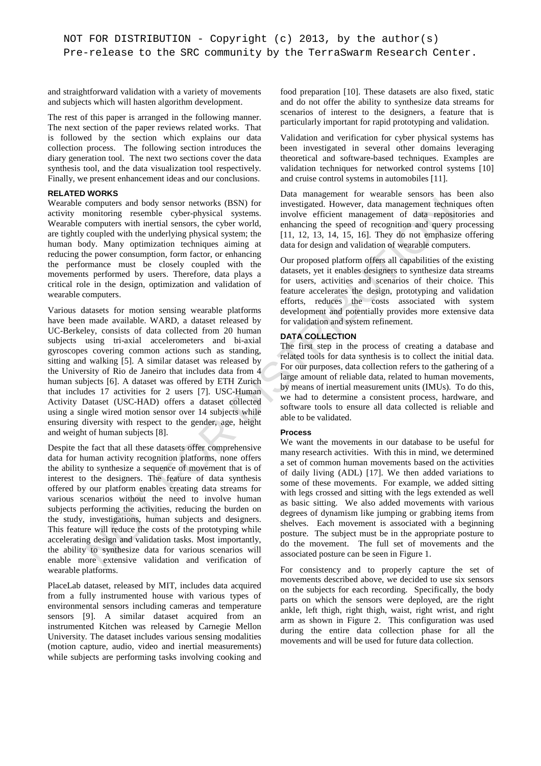and straightforward validation with a variety of movements and subjects which will hasten algorithm development.

The rest of this paper is arranged in the following manner. The next section of the paper reviews related works. That is followed by the section which explains our data collection process. The following section introduces the diary generation tool. The next two sections cover the data synthesis tool, and the data visualization tool respectively. Finally, we present enhancement ideas and our conclusions.

# **RELATED WORKS**

Wearable computers and body sensor networks (BSN) for activity monitoring resemble cyber-physical systems. Wearable computers with inertial sensors, the cyber world, are tightly coupled with the underlying physical system; the human body. Many optimization techniques aiming at reducing the power consumption, form factor, or enhancing the performance must be closely coupled with the movements performed by users. Therefore, data plays a critical role in the design, optimization and validation of wearable computers.

computers and bedy senes relative method (BSN) for investigated. However, data management echainge and bedy senes with inertial sensors, the cyber word, complete with the underlying physical systems. Involve efficient man Various datasets for motion sensing wearable platforms have been made available. WARD, a dataset released by UC-Berkeley, consists of data collected from 20 human subjects using tri-axial accelerometers and bi-axial gyroscopes covering common actions such as standing, sitting and walking [5]. A similar dataset was released by the University of Rio de Janeiro that includes data from 4 human subjects [6]. A dataset was offered by ETH Zurich that includes 17 activities for 2 users [7]. USC-Human Activity Dataset (USC-HAD) offers a dataset collected using a single wired motion sensor over 14 subjects while ensuring diversity with respect to the gender, age, height and weight of human subjects [8].

Despite the fact that all these datasets offer comprehensive data for human activity recognition platforms, none offers the ability to synthesize a sequence of movement that is of interest to the designers. The feature of data synthesis offered by our platform enables creating data streams for various scenarios without the need to involve human subjects performing the activities, reducing the burden on the study, investigations, human subjects and designers. This feature will reduce the costs of the prototyping while accelerating design and validation tasks. Most importantly, the ability to synthesize data for various scenarios will enable more extensive validation and verification of wearable platforms.

PlaceLab dataset, released by MIT, includes data acquired from a fully instrumented house with various types of environmental sensors including cameras and temperature sensors [9]. A similar dataset acquired from an instrumented Kitchen was released by Carnegie Mellon University. The dataset includes various sensing modalities (motion capture, audio, video and inertial measurements) while subjects are performing tasks involving cooking and food preparation [10]. These datasets are also fixed, static and do not offer the ability to synthesize data streams for scenarios of interest to the designers, a feature that is particularly important for rapid prototyping and validation.

Validation and verification for cyber physical systems has been investigated in several other domains leveraging theoretical and software-based techniques. Examples are validation techniques for networked control systems [10] and cruise control systems in automobiles [11].

Data management for wearable sensors has been also investigated. However, data management techniques often involve efficient management of data repositories and enhancing the speed of recognition and query processing [11, 12, 13, 14, 15, 16]. They do not emphasize offering data for design and validation of wearable computers.

Our proposed platform offers all capabilities of the existing datasets, yet it enables designers to synthesize data streams for users, activities and scenarios of their choice. This feature accelerates the design, prototyping and validation efforts, reduces the costs associated with system development and potentially provides more extensive data for validation and system refinement.

# **DATA COLLECTION**

The first step in the process of creating a database and related tools for data synthesis is to collect the initial data. For our purposes, data collection refers to the gathering of a large amount of reliable data, related to human movements, by means of inertial measurement units (IMUs). To do this, we had to determine a consistent process, hardware, and software tools to ensure all data collected is reliable and able to be validated.

# **Process**

We want the movements in our database to be useful for many research activities. With this in mind, we determined a set of common human movements based on the activities of daily living (ADL) [17]. We then added variations to some of these movements. For example, we added sitting with legs crossed and sitting with the legs extended as well as basic sitting. We also added movements with various degrees of dynamism like jumping or grabbing items from shelves. Each movement is associated with a beginning posture. The subject must be in the appropriate posture to do the movement. The full set of movements and the associated posture can be seen in Figure 1.

For consistency and to properly capture the set of movements described above, we decided to use six sensors on the subjects for each recording. Specifically, the body parts on which the sensors were deployed, are the right ankle, left thigh, right thigh, waist, right wrist, and right arm as shown in Figure 2. This configuration was used during the entire data collection phase for all the movements and will be used for future data collection.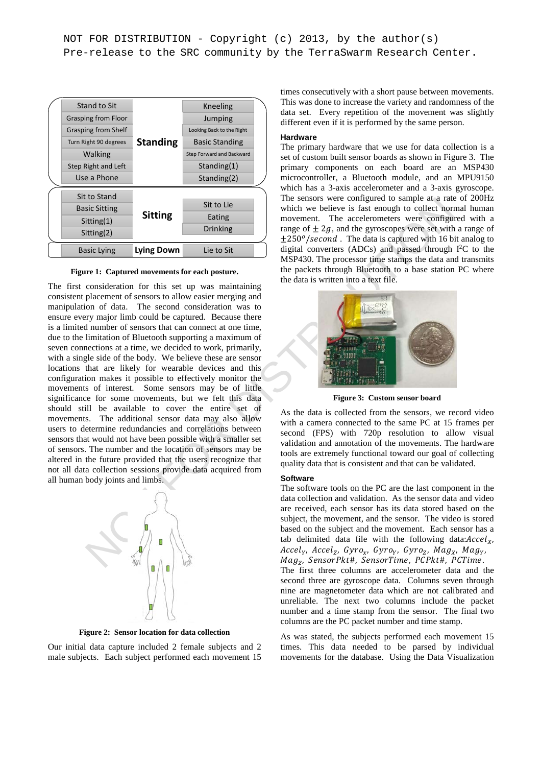

**Figure 1: Captured movements for each posture.** 

Using Sitting Sitting Sitting Sitting the smooth wind we believe is fast enough to collect normal<br>
interdimental The consideration of the movement. The acceleroment wave configured to smoothed the sitting<br>
is sixtying **Ly** The first consideration for this set up was maintaining consistent placement of sensors to allow easier merging and manipulation of data. The second consideration was to ensure every major limb could be captured. Because there is a limited number of sensors that can connect at one time, due to the limitation of Bluetooth supporting a maximum of seven connections at a time, we decided to work, primarily, with a single side of the body. We believe these are sensor locations that are likely for wearable devices and this configuration makes it possible to effectively monitor the movements of interest. Some sensors may be of little significance for some movements, but we felt this data should still be available to cover the entire set of movements. The additional sensor data may also allow users to determine redundancies and correlations between sensors that would not have been possible with a smaller set of sensors. The number and the location of sensors may be altered in the future provided that the users recognize that not all data collection sessions provide data acquired from all human body joints and limbs.



**Figure 2: Sensor location for data collection** 

Our initial data capture included 2 female subjects and 2 male subjects. Each subject performed each movement 15 times consecutively with a short pause between movements. This was done to increase the variety and randomness of the data set. Every repetition of the movement was slightly different even if it is performed by the same person.

#### **Hardware**

The primary hardware that we use for data collection is a set of custom built sensor boards as shown in Figure 3. The primary components on each board are an MSP430 microcontroller, a Bluetooth module, and an MPU9150 which has a 3-axis accelerometer and a 3-axis gyroscope. The sensors were configured to sample at a rate of 200Hz which we believe is fast enough to collect normal human movement. The accelerometers were configured with a range of  $\pm 2g$ , and the gyroscopes were set with a range of  $\pm 250^{\circ}/\text{second}$ . The data is captured with 16 bit analog to digital converters (ADCs) and passed through  $I<sup>2</sup>C$  to the MSP430. The processor time stamps the data and transmits the packets through Bluetooth to a base station PC where the data is written into a text file.



**Figure 3: Custom sensor board** 

As the data is collected from the sensors, we record video with a camera connected to the same PC at 15 frames per second (FPS) with 720p resolution to allow visual validation and annotation of the movements. The hardware tools are extremely functional toward our goal of collecting quality data that is consistent and that can be validated.

## **Software**

The software tools on the PC are the last component in the data collection and validation. As the sensor data and video are received, each sensor has its data stored based on the subject, the movement, and the sensor. The video is stored based on the subject and the movement. Each sensor has a tab delimited data file with the following data: $\text{Accel}_X$ ,  $\textit{Accel}_Y$ ,  $\textit{Accel}_Z$ ,  $\textit{Gyro}_x$ ,  $\textit{Gyro}_Y$ ,  $\textit{Gyro}_Z$ ,  $\textit{Mag}_X$ ,  $\textit{Mag}_Y$ ,  $Mag_{Z}$ , SensorPkt#, SensorTime, PCPkt#, PCTime.

The first three columns are accelerometer data and the second three are gyroscope data. Columns seven through nine are magnetometer data which are not calibrated and unreliable. The next two columns include the packet number and a time stamp from the sensor. The final two columns are the PC packet number and time stamp.

As was stated, the subjects performed each movement 15 times. This data needed to be parsed by individual movements for the database. Using the Data Visualization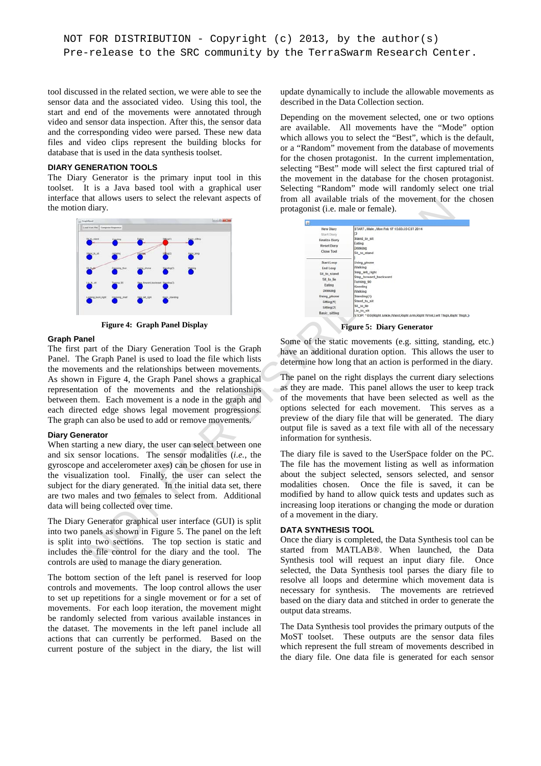```
NOT FOR DISTRIBUTION - Copyright (c) 2013, by the author(s)
Pre-release to the SRC community by the TerraSwarm Research Center.
```
tool discussed in the related section, we were able to see the sensor data and the associated video. Using this tool, the start and end of the movements were annotated through video and sensor data inspection. After this, the sensor data and the corresponding video were parsed. These new data files and video clips represent the building blocks for database that is used in the data synthesis toolset.

# **DIARY GENERATION TOOLS**

The Diary Generator is the primary input tool in this toolset. It is a Java based tool with a graphical user interface that allows users to select the relevant aspects of the motion diary.



**Figure 4: Graph Panel Display** 

#### **Graph Panel**

The first part of the Diary Generation Tool is the Graph Panel. The Graph Panel is used to load the file which lists the movements and the relationships between movements. As shown in Figure 4, the Graph Panel shows a graphical representation of the movements and the relationships between them. Each movement is a node in the graph and each directed edge shows legal movement progressions. The graph can also be used to add or remove movements.

## **Diary Generator**

When starting a new diary, the user can select between one and six sensor locations. The sensor modalities (*i.e.*, the gyroscope and accelerometer axes) can be chosen for use in the visualization tool. Finally, the user can select the subject for the diary generated. In the initial data set, there are two males and two females to select from. Additional data will being collected over time.

The Diary Generator graphical user interface (GUI) is split into two panels as shown in Figure 5. The panel on the left is split into two sections. The top section is static and includes the file control for the diary and the tool. The controls are used to manage the diary generation.

The bottom section of the left panel is reserved for loop controls and movements. The loop control allows the user to set up repetitions for a single movement or for a set of movements. For each loop iteration, the movement might be randomly selected from various available instances in the dataset. The movements in the left panel include all actions that can currently be performed. Based on the current posture of the subject in the diary, the list will

update dynamically to include the allowable movements as described in the Data Collection section.

Depending on the movement selected, one or two options are available. All movements have the "Mode" option which allows you to select the "Best", which is the default, or a "Random" movement from the database of movements for the chosen protagonist. In the current implementation, selecting "Best" mode will select the first captured trial of the movement in the database for the chosen protagonist. Selecting "Random" mode will randomly select one trial from all available trials of the movement for the chosen protagonist (i.e. male or female).

| hat allows users to select the relevant aspects of<br>ı diary.                                                                                                                                                                                                                                                                                                                                                                                                                  | from all available trials of the movement for the or<br>protagonist ( <i>i.e.</i> male or female).                                                                                                                                                                                                                                                                                                                                                                                                                                                 |  |  |  |  |
|---------------------------------------------------------------------------------------------------------------------------------------------------------------------------------------------------------------------------------------------------------------------------------------------------------------------------------------------------------------------------------------------------------------------------------------------------------------------------------|----------------------------------------------------------------------------------------------------------------------------------------------------------------------------------------------------------------------------------------------------------------------------------------------------------------------------------------------------------------------------------------------------------------------------------------------------------------------------------------------------------------------------------------------------|--|--|--|--|
| <b><i><u>INSTERNET</u></i></b><br><b>AUFR AVE</b>                                                                                                                                                                                                                                                                                                                                                                                                                               |                                                                                                                                                                                                                                                                                                                                                                                                                                                                                                                                                    |  |  |  |  |
| and from File Compose Sequence                                                                                                                                                                                                                                                                                                                                                                                                                                                  | START, Male, Mon Feb 17 15:03:35 CST 2014<br>New Diary<br>Start Diary<br>Stand to sit<br><b>Finalize Diary</b><br>Eating<br>Reset Diary<br>Drinking<br>Close Tool<br>Sit_to_stand                                                                                                                                                                                                                                                                                                                                                                  |  |  |  |  |
|                                                                                                                                                                                                                                                                                                                                                                                                                                                                                 | Using_phone<br>Start Loop<br>Walking<br>End Loop<br>Step_left_right<br>Sit to stand<br>Step_forward_backward<br>Sit_to_lie<br>Turning_90                                                                                                                                                                                                                                                                                                                                                                                                           |  |  |  |  |
|                                                                                                                                                                                                                                                                                                                                                                                                                                                                                 | Eating<br>Kneeling<br>Drinking<br>Walking<br>Standing(1)<br>Using phone<br>Stand to sit<br>Sitting(1)<br>Sit_to_lie<br>Sitting(2)<br>Lie_to_sit<br>Basic_sitting<br>STOP! * 0:0(Right Ankle, Waist, Right Arm, Right Wrist, Left Thigh, Right Thigh,)                                                                                                                                                                                                                                                                                              |  |  |  |  |
| <b>Figure 4: Graph Panel Display</b>                                                                                                                                                                                                                                                                                                                                                                                                                                            | <b>Figure 5: Diary Generator</b>                                                                                                                                                                                                                                                                                                                                                                                                                                                                                                                   |  |  |  |  |
| nel<br>part of the Diary Generation Tool is the Graph<br>e Graph Panel is used to load the file which lists<br>nents and the relationships between movements.<br>in Figure 4, the Graph Panel shows a graphical<br>tion of the movements and the relationships<br>hem. Each movement is a node in the graph and<br>cted edge shows legal movement progressions.<br>can also be used to add or remove movements.<br>ıerator<br>ting a new diary, the user can select between one | Some of the static movements (e.g. sitting, standing<br>have an additional duration option. This allows the<br>determine how long that an action is performed in the<br>The panel on the right displays the current diary sele<br>as they are made. This panel allows the user to keep<br>of the movements that have been selected as well<br>options selected for each movement.<br>This serves<br>preview of the diary file that will be generated. The<br>output file is saved as a text file with all of the nec<br>information for synthesis. |  |  |  |  |
| ensor locations. The sensor modalities (i.e., the<br>and accelerometer axes) can be chosen for use in<br>ization tool.<br>Finally, the user can select the<br>r the diary generated. In the initial data set, there<br>ales and two females to select from. Additional<br>being collected over time.                                                                                                                                                                            | The diary file is saved to the UserSpace folder on the<br>The file has the movement listing as well as inform<br>about the subject selected, sensors selected, and<br>Once the file is saved, it of<br>modalities chosen.<br>modified by hand to allow quick tests and updates s<br>increasing loop iterations or changing the mode or du<br>of a movement in the diary.                                                                                                                                                                           |  |  |  |  |
| Generator graphical user interface (GUI) is split<br>anels as shown in Figure 5. The panel on the left<br>to two sections. The top section is static and<br>he file control for the diary and the tool.<br>The<br>re used to manage the diary generation.                                                                                                                                                                                                                       | <b>DATA SYNTHESIS TOOL</b><br>Once the diary is completed, the Data Synthesis tool<br>started from MATLAB <sup>®</sup> . When launched, the<br>Synthesis tool will request an input diary file.                                                                                                                                                                                                                                                                                                                                                    |  |  |  |  |

**Figure 5: Diary Generator** 

Some of the static movements (e.g. sitting, standing, etc.) have an additional duration option. This allows the user to determine how long that an action is performed in the diary.

The panel on the right displays the current diary selections as they are made. This panel allows the user to keep track of the movements that have been selected as well as the options selected for each movement. This serves as a preview of the diary file that will be generated. The diary output file is saved as a text file with all of the necessary information for synthesis.

The diary file is saved to the UserSpace folder on the PC. The file has the movement listing as well as information about the subject selected, sensors selected, and sensor modalities chosen. Once the file is saved, it can be modified by hand to allow quick tests and updates such as increasing loop iterations or changing the mode or duration of a movement in the diary.

# **DATA SYNTHESIS TOOL**

Once the diary is completed, the Data Synthesis tool can be started from MATLAB®. When launched, the Data Synthesis tool will request an input diary file. Once selected, the Data Synthesis tool parses the diary file to resolve all loops and determine which movement data is necessary for synthesis. The movements are retrieved based on the diary data and stitched in order to generate the output data streams.

The Data Synthesis tool provides the primary outputs of the MoST toolset. These outputs are the sensor data files which represent the full stream of movements described in the diary file. One data file is generated for each sensor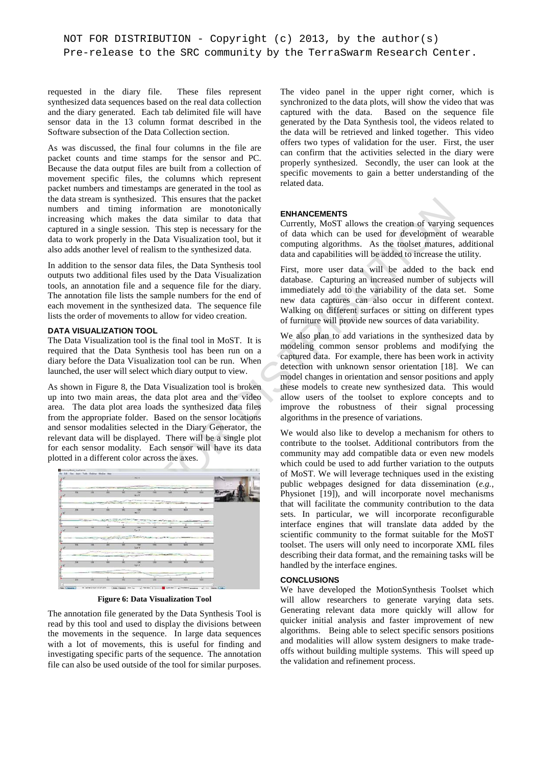requested in the diary file. These files represent synthesized data sequences based on the real data collection and the diary generated. Each tab delimited file will have sensor data in the 13 column format described in the Software subsection of the Data Collection section.

As was discussed, the final four columns in the file are packet counts and time stamps for the sensor and PC. Because the data output files are built from a collection of movement specific files, the columns which represent packet numbers and timestamps are generated in the tool as the data stream is synthesized. This ensures that the packet numbers and timing information are monotonically increasing which makes the data similar to data that captured in a single session. This step is necessary for the data to work properly in the Data Visualization tool, but it also adds another level of realism to the synthesized data.

In addition to the sensor data files, the Data Synthesis tool outputs two additional files used by the Data Visualization tools, an annotation file and a sequence file for the diary. The annotation file lists the sample numbers for the end of each movement in the synthesized data. The sequence file lists the order of movements to allow for video creation.

# **DATA VISUALIZATION TOOL**

The Data Visualization tool is the final tool in MoST. It is required that the Data Synthesis tool has been run on a diary before the Data Visualization tool can be run. When launched, the user will select which diary output to view.

As shown in Figure 8, the Data Visualization tool is broken up into two main areas, the data plot area and the video area. The data plot area loads the synthesized data files from the appropriate folder. Based on the sensor locations and sensor modalities selected in the Diary Generator, the relevant data will be displayed. There will be a single plot for each sensor modality. Each sensor will have its data plotted in a different color across the axes.

|                 |                                 |            |                                                      | Act X                                      |              |            |             |              |  |
|-----------------|---------------------------------|------------|------------------------------------------------------|--------------------------------------------|--------------|------------|-------------|--------------|--|
| ₩               | <b>CARL FORD PERMIT</b><br>tais | w          | w                                                    | that<br>Au Y                               | त्रस         | tate       | ww          | w            |  |
| $\overline{12}$ | <b>K2R</b>                      | <b>AND</b> | <b>MC</b>                                            | TDE<br>$A = T$                             | <b>STAR</b>  | ness       | <b>WOR</b>  | <b>THEFT</b> |  |
| 78              | 198                             | <b>MAY</b> | m                                                    | 1241<br>$C_{p+1}$                          | 1768         | m          | <b>With</b> | tage         |  |
| 756             | $\overline{\alpha}$             |            | <b>COLUMN 17 TWO</b><br>$-252$<br>PERMIT AND ARRESTS | <b><i>CARDON</i></b><br>m<br><b>Dyne Y</b> | w            | <b>TAN</b> | WM          | <b>MOF</b>   |  |
| 398             | io Sil                          | m          | w                                                    | 100<br>$C_{\rm P}$ of $Z$                  | <b>Visit</b> | TANT       | NOW         | HAN:         |  |
| 208             | XM                              | <b>MA</b>  | m                                                    | $+1001$                                    | MAI          | 1441       | <b>NO</b>   | HAN          |  |

**Figure 6: Data Visualization Tool** 

The annotation file generated by the Data Synthesis Tool is read by this tool and used to display the divisions between the movements in the sequence. In large data sequences with a lot of movements, this is useful for finding and investigating specific parts of the sequence. The annotation file can also be used outside of the tool for similar purposes.

The video panel in the upper right corner, which is synchronized to the data plots, will show the video that was captured with the data. Based on the sequence file generated by the Data Synthesis tool, the videos related to the data will be retrieved and linked together. This video offers two types of validation for the user. First, the user can confirm that the activities selected in the diary were properly synthesized. Secondly, the user can look at the specific movements to gain a better understanding of the related data.

# **ENHANCEMENTS**

Currently, MoST allows the creation of varying sequences of data which can be used for development of wearable computing algorithms. As the toolset matures, additional data and capabilities will be added to increase the utility.

First, more user data will be added to the back end database. Capturing an increased number of subjects will immediately add to the variability of the data set. Some new data captures can also occur in different context. Walking on different surfaces or sitting on different types of furniture will provide new sources of data variability.

We also plan to add variations in the synthesized data by modeling common sensor problems and modifying the captured data. For example, there has been work in activity detection with unknown sensor orientation [18]. We can model changes in orientation and sensor positions and apply these models to create new synthesized data. This would allow users of the toolset to explore concepts and to improve the robustness of their signal processing algorithms in the presence of variations.

rean is synthesized. This ensures that the packet of the data similar to dual that increase the dual information are monotonically<br>
which makes the detail similar to dual that is Currently, MoST allows the creation of Var We would also like to develop a mechanism for others to contribute to the toolset. Additional contributors from the community may add compatible data or even new models which could be used to add further variation to the outputs of MoST. We will leverage techniques used in the existing public webpages designed for data dissemination (*e.g.*, Physionet [19]), and will incorporate novel mechanisms that will facilitate the community contribution to the data sets. In particular, we will incorporate reconfigurable interface engines that will translate data added by the scientific community to the format suitable for the MoST toolset. The users will only need to incorporate XML files describing their data format, and the remaining tasks will be handled by the interface engines.

## **CONCLUSIONS**

We have developed the MotionSynthesis Toolset which will allow researchers to generate varying data sets. Generating relevant data more quickly will allow for quicker initial analysis and faster improvement of new algorithms. Being able to select specific sensors positions and modalities will allow system designers to make tradeoffs without building multiple systems. This will speed up the validation and refinement process.